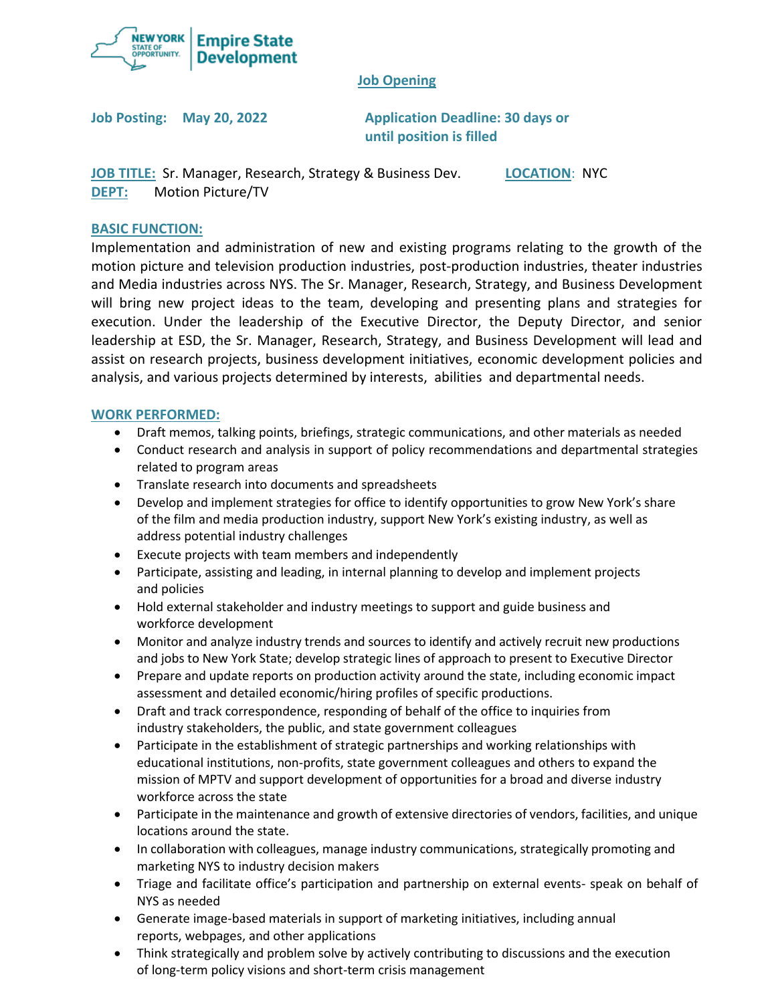

#### **Job Opening**

**Job Posting: May 20, 2022 Application Deadline: 30 days or until position is filled**

**JOB TITLE:** Sr. Manager, Research, Strategy & Business Dev. **LOCATION**: NYC **DEPT:** Motion Picture/TV

#### **BASIC FUNCTION:**

Implementation and administration of new and existing programs relating to the growth of the motion picture and television production industries, post-production industries, theater industries and Media industries across NYS. The Sr. Manager, Research, Strategy, and Business Development will bring new project ideas to the team, developing and presenting plans and strategies for execution. Under the leadership of the Executive Director, the Deputy Director, and senior leadership at ESD, the Sr. Manager, Research, Strategy, and Business Development will lead and assist on research projects, business development initiatives, economic development policies and analysis, and various projects determined by interests, abilities and departmental needs.

#### **WORK PERFORMED:**

- Draft memos, talking points, briefings, strategic communications, and other materials as needed
- Conduct research and analysis in support of policy recommendations and departmental strategies related to program areas
- Translate research into documents and spreadsheets
- Develop and implement strategies for office to identify opportunities to grow New York's share of the film and media production industry, support New York's existing industry, as well as address potential industry challenges
- Execute projects with team members and independently
- Participate, assisting and leading, in internal planning to develop and implement projects and policies
- Hold external stakeholder and industry meetings to support and guide business and workforce development
- Monitor and analyze industry trends and sources to identify and actively recruit new productions and jobs to New York State; develop strategic lines of approach to present to Executive Director
- Prepare and update reports on production activity around the state, including economic impact assessment and detailed economic/hiring profiles of specific productions.
- Draft and track correspondence, responding of behalf of the office to inquiries from industry stakeholders, the public, and state government colleagues
- Participate in the establishment of strategic partnerships and working relationships with educational institutions, non-profits, state government colleagues and others to expand the mission of MPTV and support development of opportunities for a broad and diverse industry workforce across the state
- Participate in the maintenance and growth of extensive directories of vendors, facilities, and unique locations around the state.
- In collaboration with colleagues, manage industry communications, strategically promoting and marketing NYS to industry decision makers
- Triage and facilitate office's participation and partnership on external events- speak on behalf of NYS as needed
- Generate image-based materials in support of marketing initiatives, including annual reports, webpages, and other applications
- Think strategically and problem solve by actively contributing to discussions and the execution of long-term policy visions and short-term crisis management